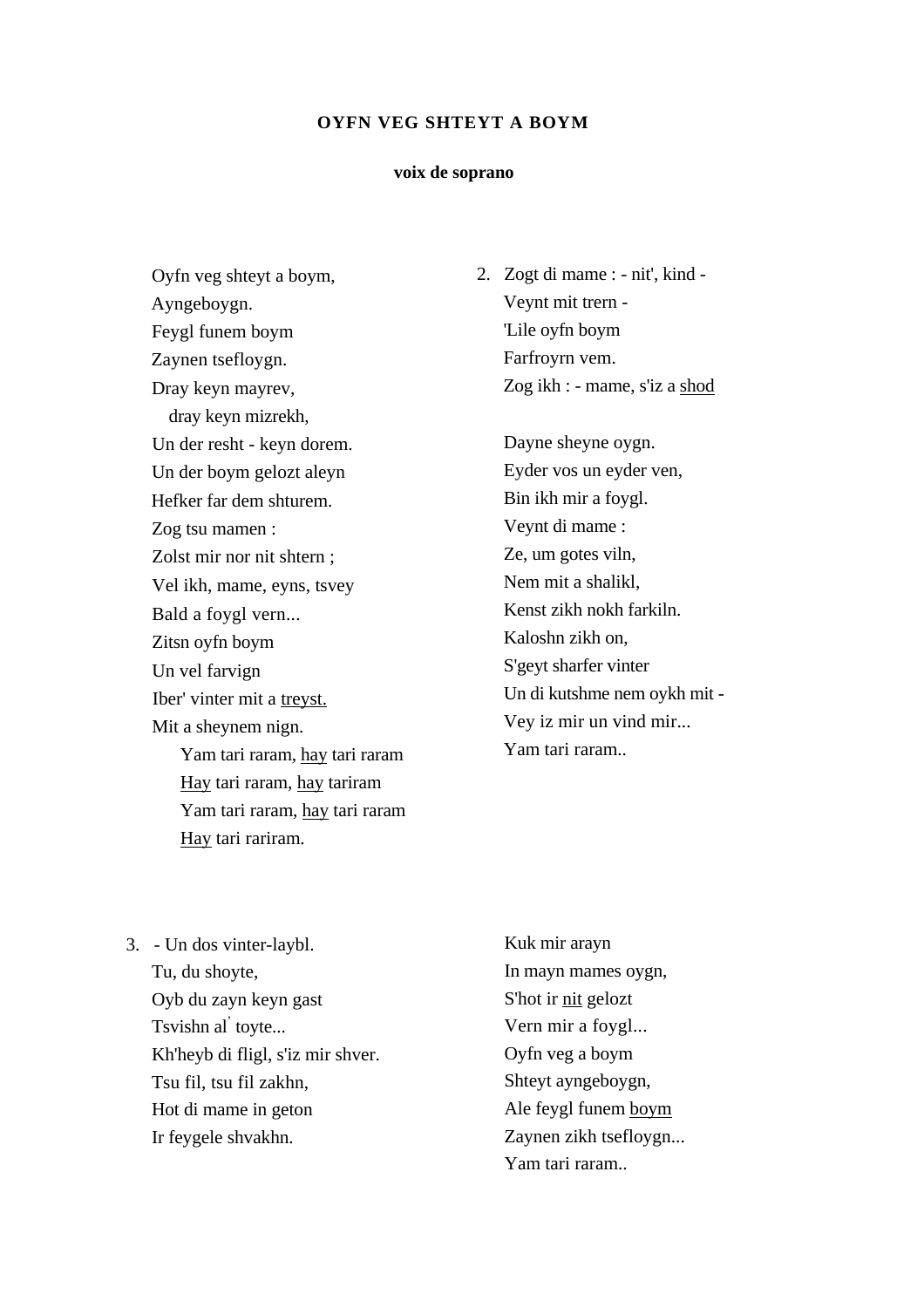#### **voix de soprano**

Oyfn veg shteyt a boym, Ayngeboygn. Feygl funem boym Zaynen tsefloygn. Dray keyn mayrev, dray keyn mizrekh, Un der resht - keyn dorem. Un der boym gelozt aleyn Hefker far dem shturem. Zog tsu mamen : Zolst mir nor nit shtern ; Vel ikh, mame, eyns, tsvey Bald a foygl vern... Zitsn oyfn boym Un vel farvign Iber' vinter mit a treyst. Mit a sheynem nign. Yam tari raram, hay tari raram Hay tari raram, hay tariram Yam tari raram, hay tari raram Hay tari rariram.

2. Zogt di mame : - nit', kind - Veynt mit trern - 'Lile oyfn boym Farfroyrn vem. Zog ikh : - mame, s'iz a shod

> Dayne sheyne oygn. Eyder vos un eyder ven, Bin ikh mir a foygl. Veynt di mame : Ze, um gotes viln, Nem mit a shalikl, Kenst zikh nokh farkiln. Kaloshn zikh on, S'geyt sharfer vinter Un di kutshme nem oykh mit - Vey iz mir un vind mir... Yam tari raram..

- 3. Un dos vinter-laybl. Tu, du shoyte, Oyb du zayn keyn gast Tsvishn al' toyte... Kh'heyb di fligl, s'iz mir shver. Tsu fil, tsu fil zakhn, Hot di mame in geton Ir feygele shvakhn.
- Kuk mir arayn In mayn mames oygn, S'hot ir nit gelozt Vern mir a foygl... Oyfn veg a boym Shteyt ayngeboygn, Ale feygl funem boym Zaynen zikh tsefloygn... Yam tari raram..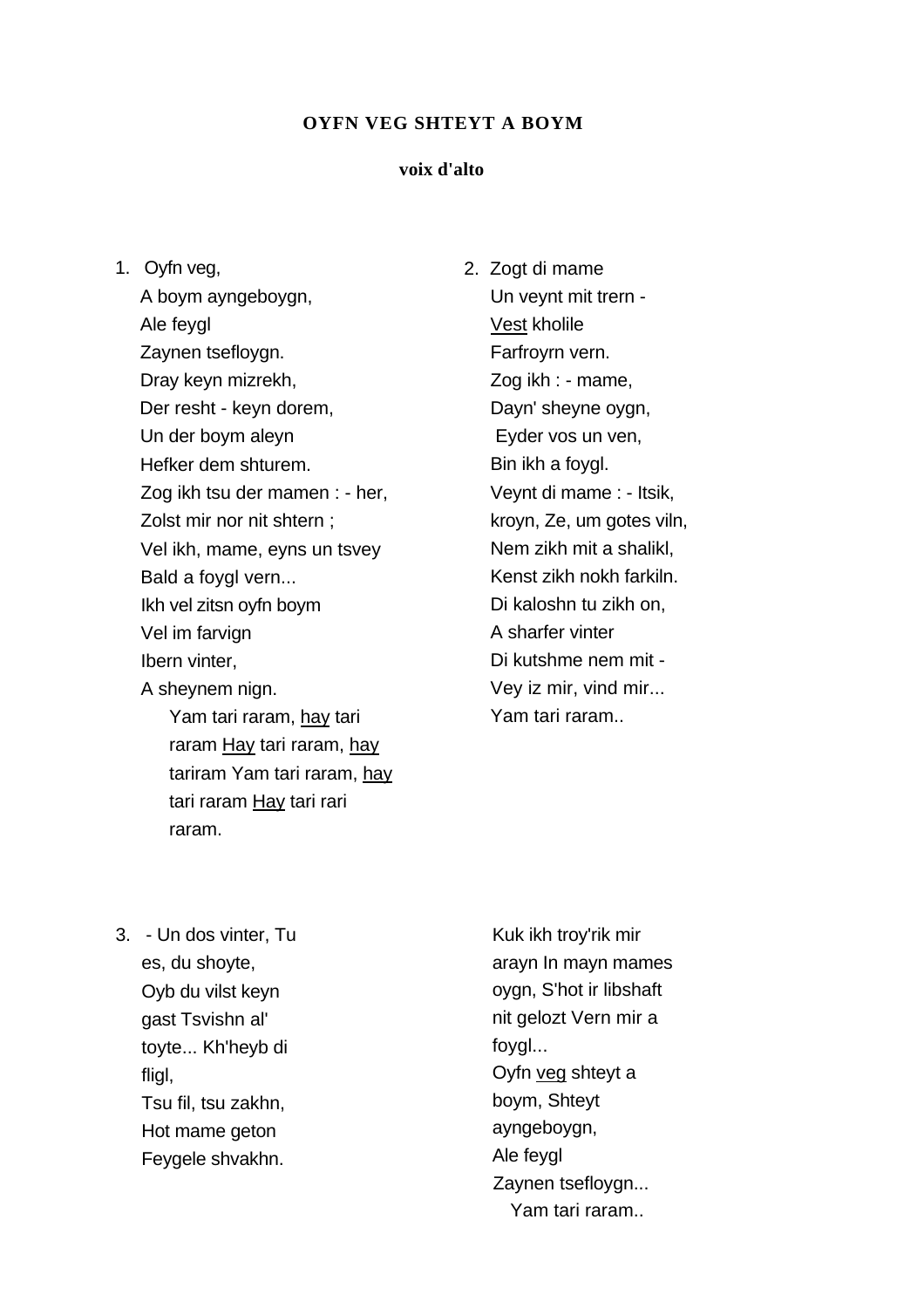## **voix d'alto**

1. Oyfn veg,

A boym ayngeboygn, Ale feygl Zaynen tsefloygn. Dray keyn mizrekh, Der resht - keyn dorem, Un der boym aleyn Hefker dem shturem. Zog ikh tsu der mamen : - her, Zolst mir nor nit shtern ; Vel ikh, mame, eyns un tsvey Bald a foygl vern... Ikh vel zitsn oyfn boym Vel im farvign Ibern vinter, A sheynem nign. Yam tari raram, hay tari raram Hay tari raram, hay tariram Yam tari raram, hay

tari raram Hay tari rari

2. Zogt di mame Un veynt mit trern - Vest kholile Farfroyrn vern. Zog ikh : - mame, Dayn' sheyne oygn, Eyder vos un ven, Bin ikh a foygl. Veynt di mame : - Itsik, kroyn, Ze, um gotes viln, Nem zikh mit a shalikl, Kenst zikh nokh farkiln. Di kaloshn tu zikh on, A sharfer vinter Di kutshme nem mit - Vey iz mir, vind mir... Yam tari raram..

3. - Un dos vinter, Tu es, du shoyte, Oyb du vilst keyn gast Tsvishn al' toyte... Kh'heyb di fligl, Tsu fil, tsu zakhn, Hot mame geton Feygele shvakhn.

raram.

Kuk ikh troy'rik mir arayn In mayn mames oygn, S'hot ir libshaft nit gelozt Vern mir a foygl... Oyfn veg shteyt a boym, Shteyt ayngeboygn, Ale feygl Zaynen tsefloygn... Yam tari raram..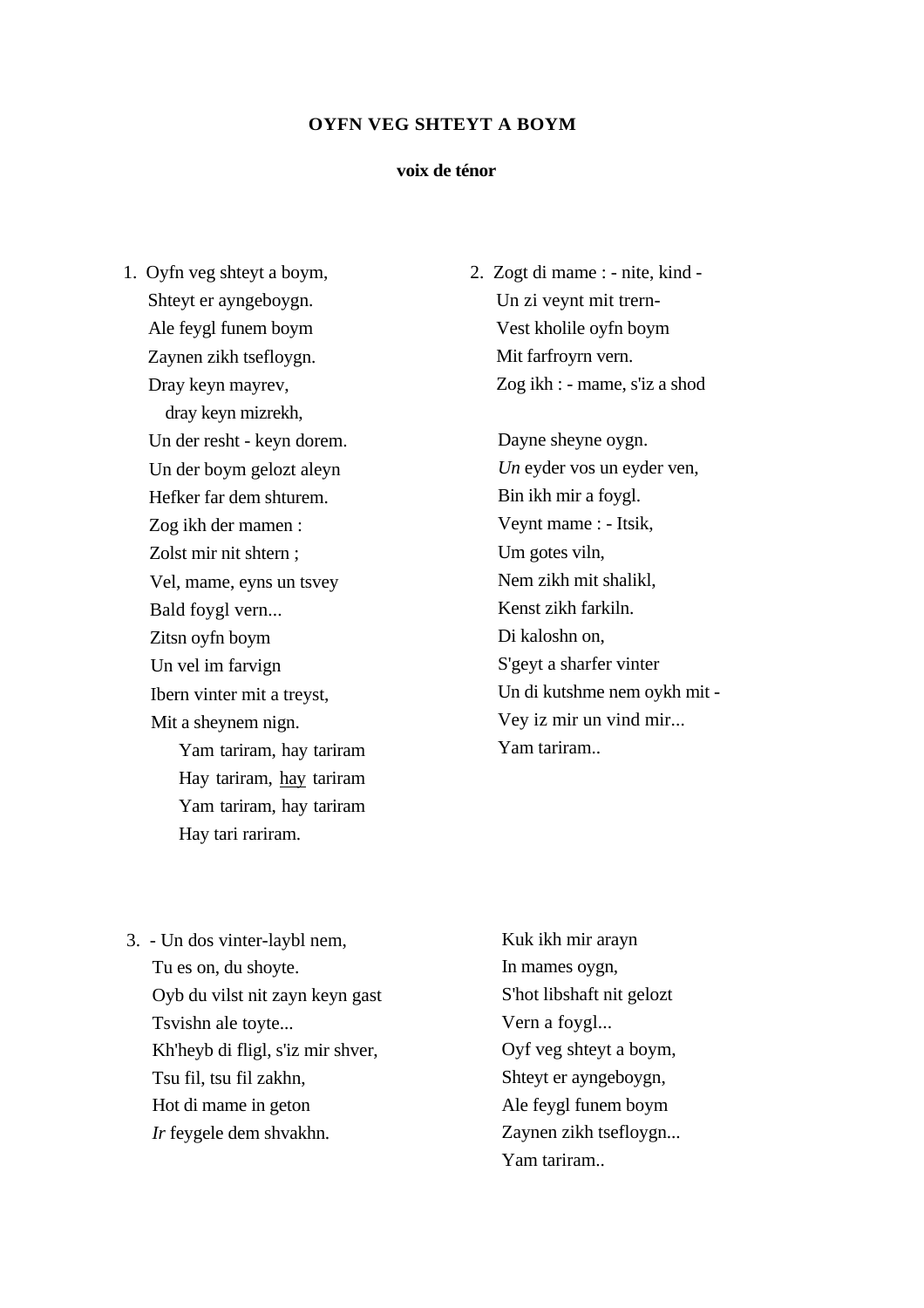#### **voix de ténor**

1. Oyfn veg shteyt a boym, Shteyt er ayngeboygn. Ale feygl funem boym Zaynen zikh tsefloygn. Dray keyn mayrev, dray keyn mizrekh, Un der resht - keyn dorem. Un der boym gelozt aleyn Hefker far dem shturem. Zog ikh der mamen : Zolst mir nit shtern ; Vel, mame, eyns un tsvey Bald foygl vern... Zitsn oyfn boym Un vel im farvign Ibern vinter mit a treyst, Mit a sheynem nign. Yam tariram, hay tariram Hay tariram, hay tariram Yam tariram, hay tariram Hay tari rariram.

2. Zogt di mame : - nite, kind - Un zi veynt mit trern-Vest kholile oyfn boym Mit farfroyrn vern. Zog ikh : - mame, s'iz a shod

> Dayne sheyne oygn. *Un* eyder vos un eyder ven, Bin ikh mir a foygl. Veynt mame : - Itsik, Um gotes viln, Nem zikh mit shalikl, Kenst zikh farkiln. Di kaloshn on, S'geyt a sharfer vinter Un di kutshme nem oykh mit - Vey iz mir un vind mir... Yam tariram..

3. - Un dos vinter-laybl nem, Tu es on, du shoyte. Oyb du vilst nit zayn keyn gast Tsvishn ale toyte... Kh'heyb di fligl, s'iz mir shver, Tsu fil, tsu fil zakhn, Hot di mame in geton *Ir* feygele dem shvakhn.

Kuk ikh mir arayn In mames oygn, S'hot libshaft nit gelozt Vern a foygl... Oyf veg shteyt a boym, Shteyt er ayngeboygn, Ale feygl funem boym Zaynen zikh tsefloygn... Yam tariram..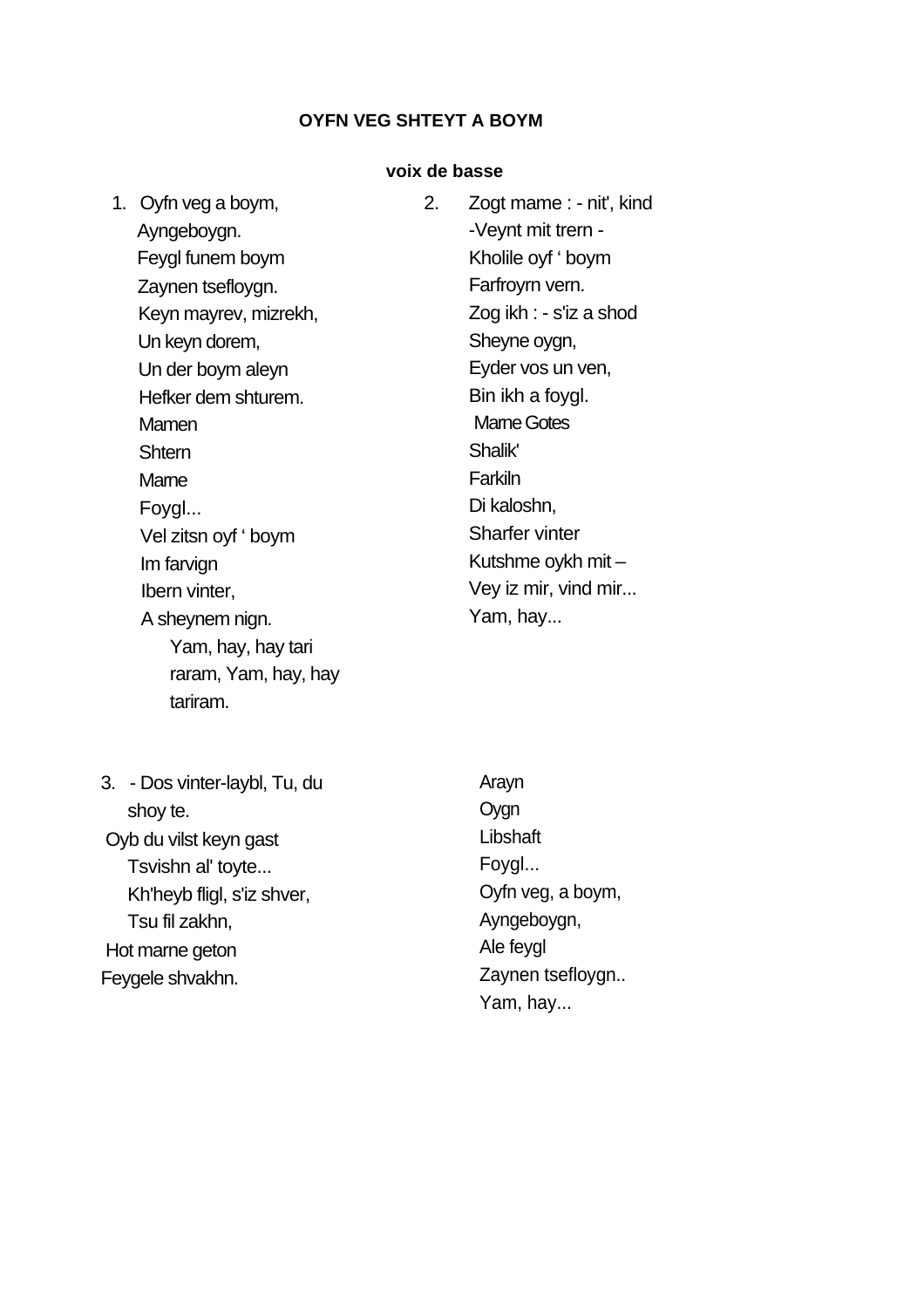## **voix de basse**

| 1. Oyfn veg a boym,   | 2. | Zogt mame : - nit', kind |
|-----------------------|----|--------------------------|
| Ayngeboygn.           |    | -Veynt mit trern -       |
| Feygl funem boym      |    | Kholile oyf ' boym       |
| Zaynen tsefloygn.     |    | Farfroyrn vern.          |
| Keyn mayrev, mizrekh, |    | Zog ikh : - s'iz a shod  |
| Un keyn dorem,        |    | Sheyne oygn,             |
| Un der boym aleyn     |    | Eyder vos un ven,        |
| Hefker dem shturem.   |    | Bin ikh a foygl.         |
| Mamen                 |    | <b>Mame Gotes</b>        |
| <b>Shtern</b>         |    | Shalik'                  |
| Mame                  |    | Farkiln                  |
| Foygl                 |    | Di kaloshn,              |
| Vel zitsn oyf ' boym  |    | <b>Sharfer vinter</b>    |
| Im farvign            |    | Kutshme oykh mit -       |
| Ibern vinter,         |    | Vey iz mir, vind mir     |
| A sheynem nign.       |    | Yam, hay                 |
| Yam, hay, hay tari    |    |                          |
| raram, Yam, hay, hay  |    |                          |
|                       |    |                          |

3. - Dos vinter-laybl, Tu, du shoy te. Oyb du vilst keyn gast Tsvishn al' toyte... Kh'heyb fligl, s'iz shver, Tsu fil zakhn, Hot marne geton Feygele shvakhn.

tariram.

Arayn Oygn **Libshaft** Foygl... Oyfn veg, a boym, Ayngeboygn, Ale feygl Zaynen tsefloygn.. Yam, hay...